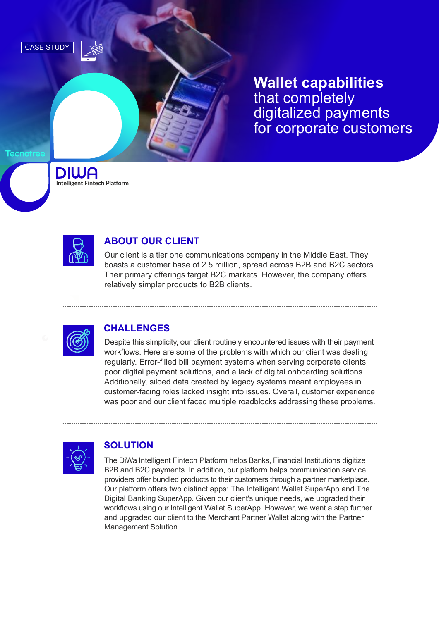

**Wallet capabilities** that completely digitalized payments for corporate customers

**DIWA Intelligent Fintech Platform** 



## **ABOUT OUR CLIENT**

Our client is a tier one communications company in the Middle East. They boasts a customer base of 2.5 million, spread across B2B and B2C sectors. Their primary offerings target B2C markets. However, the company offers relatively simpler products to B2B clients.



## **CHALLENGES**

Despite this simplicity, our client routinely encountered issues with their payment workflows. Here are some of the problems with which our client was dealing regularly. Error-filled bill payment systems when serving corporate clients, poor digital payment solutions, and a lack of digital onboarding solutions. Additionally, siloed data created by legacy systems meant employees in customer-facing roles lacked insight into issues. Overall, customer experience was poor and our client faced multiple roadblocks addressing these problems.



## **SOLUTION**

The DiWa Intelligent Fintech Platform helps Banks, Financial Institutions digitize B2B and B2C payments. In addition, our platform helps communication service providers offer bundled products to their customers through a partner marketplace. Our platform offers two distinct apps: The Intelligent Wallet SuperApp and The Digital Banking SuperApp. Given our client's unique needs, we upgraded their workflows using our Intelligent Wallet SuperApp. However, we went a step further and upgraded our client to the Merchant Partner Wallet along with the Partner Management Solution.